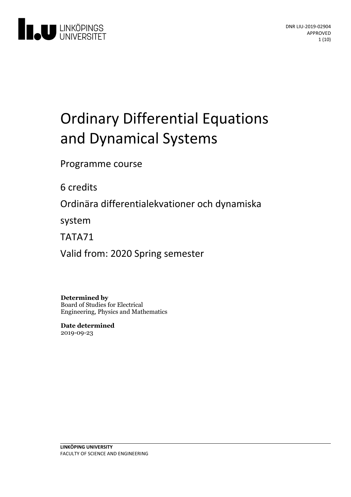

# **Ordinary Differential Equations** and Dynamical Systems

Programme course

6 credits

Ordinära differentialekvationer och dynamiska

system

TATA71

Valid from: 2020 Spring semester

**Determined by** Board of Studies for Electrical Engineering, Physics and Mathematics

**Date determined** 2019-09-23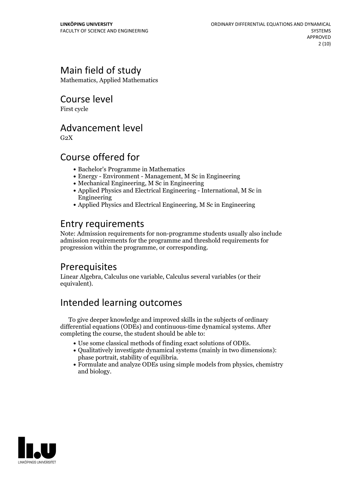# Main field of study

Mathematics, Applied Mathematics

Course level

First cycle

### Advancement level

 $G<sub>2</sub>X$ 

# Course offered for

- Bachelor's Programme in Mathematics
- Energy Environment Management, M Sc in Engineering
- Mechanical Engineering, M Sc in Engineering
- Applied Physics and Electrical Engineering International, M Sc in Engineering
- Applied Physics and Electrical Engineering, M Sc in Engineering

# Entry requirements

Note: Admission requirements for non-programme students usually also include admission requirements for the programme and threshold requirements for progression within the programme, or corresponding.

# Prerequisites

Linear Algebra, Calculus one variable, Calculus several variables (or their equivalent).

# Intended learning outcomes

To give deeper knowledge and improved skills in the subjects of ordinary differential equations (ODEs) and continuous-time dynamical systems. After completing the course, the student should be able to:

- 
- Use some classical methods of finding exact solutions of ODEs. Qualitatively investigate dynamical systems (mainly in two dimensions):
- phase portrait, stability of equilibria.<br>• Formulate and analyze ODEs using simple models from physics, chemistry and biology.

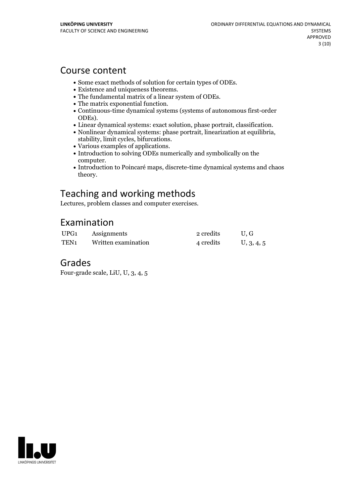### Course content

- 
- 
- 
- 
- <ul>\n<li> Some exact methods of solution for certain types of ODEs.</li>\n<li> Existence and uniqueness theorems.</li>\n<li> The fundamental matrix of a linear system of ODEs.</li>\n<li> The matrix exponential function.</li>\n<li> Continuous-time dynamical systems (systems of autonomous first-order</li>\n</ul>
- 
- ODEs).<br>
 Linear dynamical systems: exact solution, phase portrait, classification.<br>
 Nonlinear dynamical systems: phase portrait, linearization at equilibria,<br>
stability, limit cycles, bifurcations.<br>
 Various examples o
- 
- 
- computer.<br>• Introduction to Poincaré maps, discrete-time dynamical systems and chaos theory.

# Teaching and working methods

Lectures, problem classes and computer exercises.

### Examination

| UPG <sub>1</sub> | Assignments         | 2 credits | U.G        |
|------------------|---------------------|-----------|------------|
| TEN <sub>1</sub> | Written examination | 4 credits | U, 3, 4, 5 |

### Grades

Four-grade scale, LiU, U, 3, 4, 5

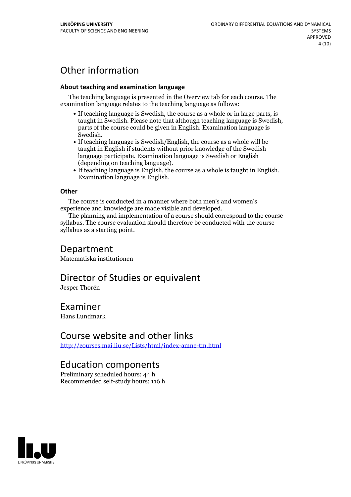# Other information

#### **About teaching and examination language**

The teaching language is presented in the Overview tab for each course. The examination language relates to the teaching language as follows:

- If teaching language is Swedish, the course as a whole or in large parts, is taught in Swedish. Please note that although teaching language is Swedish, parts of the course could be given in English. Examination language is
- Swedish.<br>• If teaching language is Swedish/English, the course as a whole will be taught in English if students without prior knowledge of the Swedish language participate. Examination language is Swedish or English
- (depending on teaching language).<br>
 If teaching language is English, the course as a whole is taught in English.<br>
Examination language is English.

#### **Other**

The course is conducted in a manner where both men's and women's

experience and knowledge are made visible and developed. The planning and implementation of <sup>a</sup> course should correspond to the course syllabus. The course evaluation should therefore be conducted with the course syllabus as a starting point.

### Department

Matematiska institutionen

### Director of Studies or equivalent

Jesper Thorén

### Examiner

Hans Lundmark

### Course website and other links

<http://courses.mai.liu.se/Lists/html/index-amne-tm.html>

### Education components

Preliminary scheduled hours: 44 h Recommended self-study hours: 116 h

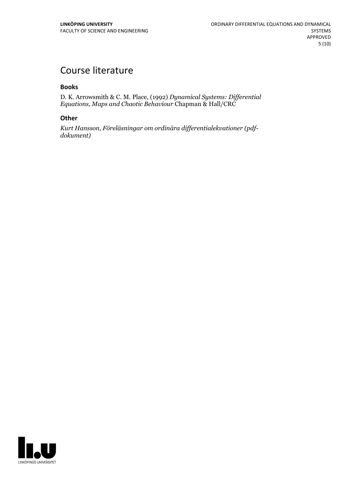# Course literature

#### **Books**

D. K. Arrowsmith & C. M. Place, (1992) *Dynamical Systems: Dif erential Equations, Maps and Chaotic Behaviour* Chapman & Hall/CRC

#### **Other**

*Kurt Hansson, Föreläsningar om ordinära dif erentialekvationer (pdf- dokument)*

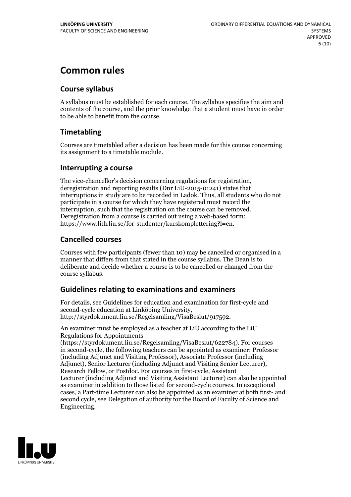# **Common rules**

### **Course syllabus**

A syllabus must be established for each course. The syllabus specifies the aim and contents of the course, and the prior knowledge that a student must have in order to be able to benefit from the course.

### **Timetabling**

Courses are timetabled after a decision has been made for this course concerning its assignment to a timetable module.

### **Interrupting a course**

The vice-chancellor's decision concerning regulations for registration, deregistration and reporting results (Dnr LiU-2015-01241) states that interruptions in study are to be recorded in Ladok. Thus, all students who do not participate in a course for which they have registered must record the interruption, such that the registration on the course can be removed. Deregistration from <sup>a</sup> course is carried outusing <sup>a</sup> web-based form: https://www.lith.liu.se/for-studenter/kurskomplettering?l=en.

### **Cancelled courses**

Courses with few participants (fewer than 10) may be cancelled or organised in a manner that differs from that stated in the course syllabus. The Dean is to deliberate and decide whether a course is to be cancelled or changed from the course syllabus.

### **Guidelines relatingto examinations and examiners**

For details, see Guidelines for education and examination for first-cycle and second-cycle education at Linköping University, http://styrdokument.liu.se/Regelsamling/VisaBeslut/917592.

An examiner must be employed as a teacher at LiU according to the LiU Regulations for Appointments

(https://styrdokument.liu.se/Regelsamling/VisaBeslut/622784). For courses in second-cycle, the following teachers can be appointed as examiner: Professor (including Adjunct and Visiting Professor), Associate Professor (including Adjunct), Senior Lecturer (including Adjunct and Visiting Senior Lecturer), Research Fellow, or Postdoc. For courses in first-cycle, Assistant Lecturer (including Adjunct and Visiting Assistant Lecturer) can also be appointed as examiner in addition to those listed for second-cycle courses. In exceptional cases, a Part-time Lecturer can also be appointed as an examiner at both first- and second cycle, see Delegation of authority for the Board of Faculty of Science and Engineering.

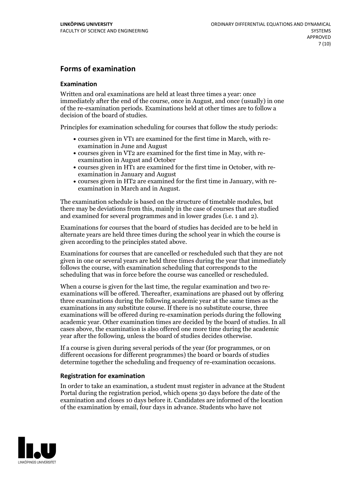### **Forms of examination**

#### **Examination**

Written and oral examinations are held at least three times a year: once immediately after the end of the course, once in August, and once (usually) in one of the re-examination periods. Examinations held at other times are to follow a decision of the board of studies.

Principles for examination scheduling for courses that follow the study periods:

- courses given in VT1 are examined for the first time in March, with re-examination in June and August
- courses given in VT2 are examined for the first time in May, with re-examination in August and October
- courses given in HT1 are examined for the first time in October, with re-examination in January and August
- courses given in HT2 are examined for the first time in January, with re-examination in March and in August.

The examination schedule is based on the structure of timetable modules, but there may be deviations from this, mainly in the case of courses that are studied and examined for several programmes and in lower grades (i.e. 1 and 2).

Examinations for courses that the board of studies has decided are to be held in alternate years are held three times during the school year in which the course is given according to the principles stated above.

Examinations for courses that are cancelled orrescheduled such that they are not given in one or several years are held three times during the year that immediately follows the course, with examination scheduling that corresponds to the scheduling that was in force before the course was cancelled or rescheduled.

When a course is given for the last time, the regular examination and two re-<br>examinations will be offered. Thereafter, examinations are phased out by offering three examinations during the following academic year at the same times as the examinations in any substitute course. If there is no substitute course, three examinations will be offered during re-examination periods during the following academic year. Other examination times are decided by the board of studies. In all cases above, the examination is also offered one more time during the academic year after the following, unless the board of studies decides otherwise.

If a course is given during several periods of the year (for programmes, or on different occasions for different programmes) the board or boards of studies determine together the scheduling and frequency of re-examination occasions.

#### **Registration for examination**

In order to take an examination, a student must register in advance at the Student Portal during the registration period, which opens 30 days before the date of the examination and closes 10 days before it. Candidates are informed of the location of the examination by email, four days in advance. Students who have not

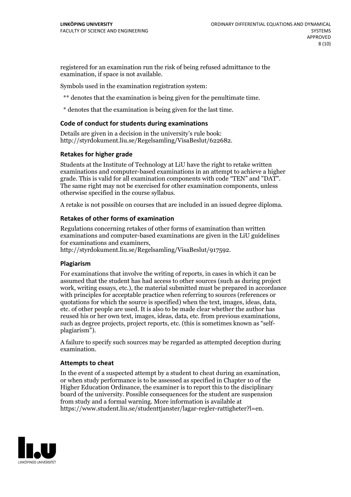registered for an examination run the risk of being refused admittance to the examination, if space is not available.

Symbols used in the examination registration system:

\*\* denotes that the examination is being given for the penultimate time.

\* denotes that the examination is being given for the last time.

#### **Code of conduct for students during examinations**

Details are given in a decision in the university's rule book: http://styrdokument.liu.se/Regelsamling/VisaBeslut/622682.

#### **Retakes for higher grade**

Students at the Institute of Technology at LiU have the right to retake written examinations and computer-based examinations in an attempt to achieve a higher grade. This is valid for all examination components with code "TEN" and "DAT". The same right may not be exercised for other examination components, unless otherwise specified in the course syllabus.

A retake is not possible on courses that are included in an issued degree diploma.

#### **Retakes of other forms of examination**

Regulations concerning retakes of other forms of examination than written examinations and computer-based examinations are given in the LiU guidelines

http://styrdokument.liu.se/Regelsamling/VisaBeslut/917592.

#### **Plagiarism**

For examinations that involve the writing of reports, in cases in which it can be assumed that the student has had access to other sources (such as during project work, writing essays, etc.), the material submitted must be prepared in accordance with principles for acceptable practice when referring to sources (references or quotations for which the source is specified) when the text, images, ideas, data, etc. of other people are used. It is also to be made clear whether the author has reused his or her own text, images, ideas, data, etc. from previous examinations, such as degree projects, project reports, etc. (this is sometimes known as "self- plagiarism").

A failure to specify such sources may be regarded as attempted deception during examination.

#### **Attempts to cheat**

In the event of <sup>a</sup> suspected attempt by <sup>a</sup> student to cheat during an examination, or when study performance is to be assessed as specified in Chapter <sup>10</sup> of the Higher Education Ordinance, the examiner is to report this to the disciplinary board of the university. Possible consequences for the student are suspension from study and a formal warning. More information is available at https://www.student.liu.se/studenttjanster/lagar-regler-rattigheter?l=en.

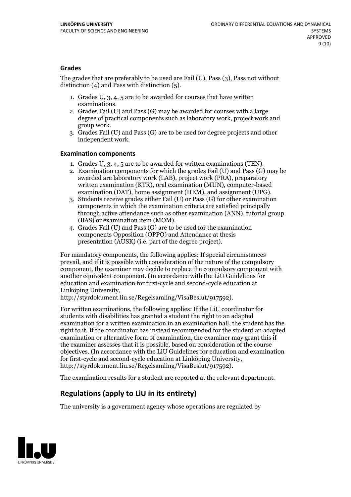#### **Grades**

The grades that are preferably to be used are Fail (U), Pass (3), Pass not without distinction  $(4)$  and Pass with distinction  $(5)$ .

- 1. Grades U, 3, 4, 5 are to be awarded for courses that have written
- examinations. 2. Grades Fail (U) and Pass (G) may be awarded for courses with <sup>a</sup> large degree of practical components such as laboratory work, project work and group work. 3. Grades Fail (U) and Pass (G) are to be used for degree projects and other
- independent work.

#### **Examination components**

- 
- 1. Grades U, 3, 4, <sup>5</sup> are to be awarded for written examinations (TEN). 2. Examination components for which the grades Fail (U) and Pass (G) may be awarded are laboratory work (LAB), project work (PRA), preparatory written examination (KTR), oral examination (MUN), computer-based
- examination (DAT), home assignment (HEM), and assignment (UPG). 3. Students receive grades either Fail (U) or Pass (G) for other examination components in which the examination criteria are satisfied principally through active attendance such as other examination (ANN), tutorial group
- (BAS) or examination item (MOM). 4. Grades Fail (U) and Pass (G) are to be used for the examination components Opposition (OPPO) and Attendance at thesis presentation (AUSK) (i.e. part of the degree project).

For mandatory components, the following applies: If special circumstances prevail, and if it is possible with consideration of the nature ofthe compulsory component, the examiner may decide to replace the compulsory component with another equivalent component. (In accordance with the LiU Guidelines for education and examination for first-cycle and second-cycle education at Linköping University, http://styrdokument.liu.se/Regelsamling/VisaBeslut/917592).

For written examinations, the following applies: If the LiU coordinator for students with disabilities has granted a student the right to an adapted examination for a written examination in an examination hall, the student has the right to it. If the coordinator has instead recommended for the student an adapted examination or alternative form of examination, the examiner may grant this if the examiner assesses that it is possible, based on consideration of the course objectives. (In accordance with the LiU Guidelines for education and examination for first-cycle and second-cycle education at Linköping University, http://styrdokument.liu.se/Regelsamling/VisaBeslut/917592).

The examination results for a student are reported at the relevant department.

### **Regulations (applyto LiU in its entirety)**

The university is a government agency whose operations are regulated by